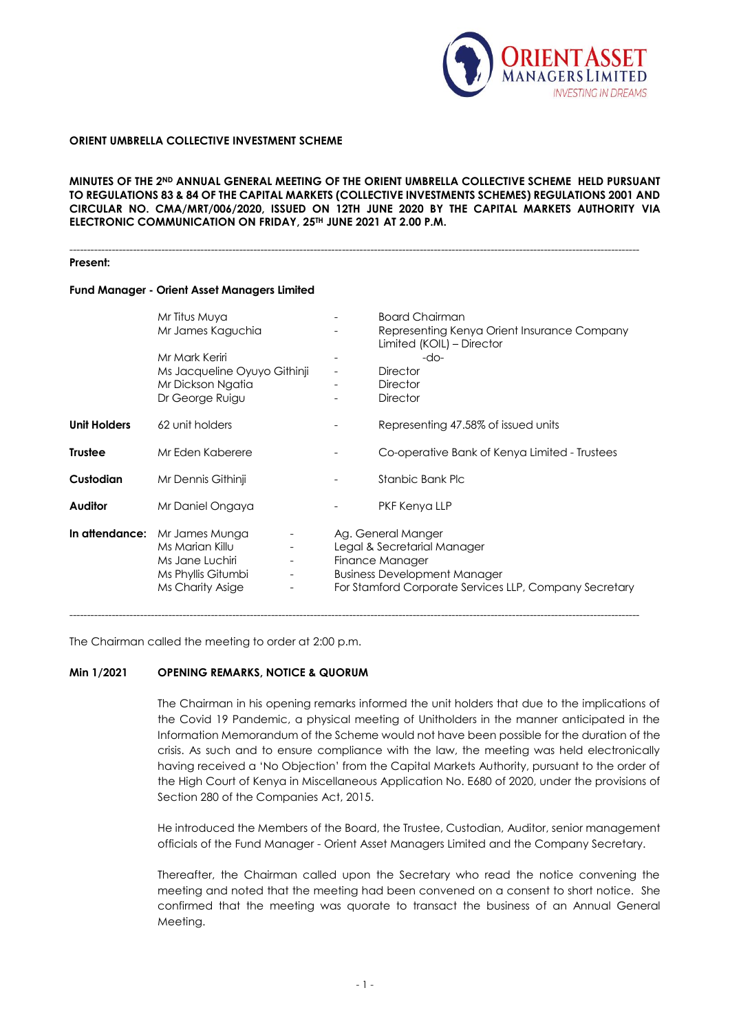

### **ORIENT UMBRELLA COLLECTIVE INVESTMENT SCHEME**

MINUTES OF THE 2<sup>ND</sup> ANNUAL GENERAL MEETING OF THE ORIENT UMBRELLA COLLECTIVE SCHEME HELD PURSUANT **TO REGULATIONS 83 & 84 OF THE CAPITAL MARKETS (COLLECTIVE INVESTMENTS SCHEMES) REGULATIONS 2001 AND CIRCULAR NO. CMA/MRT/006/2020, ISSUED ON 12TH JUNE 2020 BY THE CAPITAL MARKETS AUTHORITY VIA ELECTRONIC COMMUNICATION ON FRIDAY, 25TH JUNE 2021 AT 2.00 P.M.**

-----------------------------------------------------------------------------------------------------------------------------------------------------------------

#### **Present:**

### **Fund Manager - Orient Asset Managers Limited**

|                     | Mr Titus Muya<br>Mr James Kaguchia<br>Mr Mark Keriri<br>Ms Jacqueline Oyuyo Githinji<br>Mr Dickson Ngatia<br>Dr George Ruigu                                                                      | <b>Board Chairman</b><br>Representing Kenya Orient Insurance Company<br>Limited (KOIL) - Director<br>-do-<br><b>Director</b><br><b>Director</b><br><b>Director</b>    |
|---------------------|---------------------------------------------------------------------------------------------------------------------------------------------------------------------------------------------------|-----------------------------------------------------------------------------------------------------------------------------------------------------------------------|
| <b>Unit Holders</b> | 62 unit holders                                                                                                                                                                                   | Representing 47.58% of issued units                                                                                                                                   |
| <b>Trustee</b>      | Mr Eden Kaberere                                                                                                                                                                                  | Co-operative Bank of Kenya Limited - Trustees                                                                                                                         |
| Custodian           | Mr Dennis Githinji                                                                                                                                                                                | Stanbic Bank Plc                                                                                                                                                      |
| <b>Auditor</b>      | Mr Daniel Ongaya                                                                                                                                                                                  | PKF Kenya LLP                                                                                                                                                         |
|                     | In attendance: Mr James Munga<br>Ms Marian Killu<br>$\overline{\phantom{a}}$<br>Ms Jane Luchiri<br>$\overline{\phantom{a}}$<br>Ms Phyllis Gitumbi<br>$\overline{\phantom{a}}$<br>Ms Charity Asige | Ag. General Manger<br>Legal & Secretarial Manager<br>Finance Manager<br><b>Business Development Manager</b><br>For Stamford Corporate Services LLP, Company Secretary |

The Chairman called the meeting to order at 2:00 p.m.

### **Min 1/2021 OPENING REMARKS, NOTICE & QUORUM**

The Chairman in his opening remarks informed the unit holders that due to the implications of the Covid 19 Pandemic, a physical meeting of Unitholders in the manner anticipated in the Information Memorandum of the Scheme would not have been possible for the duration of the crisis. As such and to ensure compliance with the law, the meeting was held electronically having received a 'No Objection' from the Capital Markets Authority, pursuant to the order of the High Court of Kenya in Miscellaneous Application No. E680 of 2020, under the provisions of Section 280 of the Companies Act, 2015.

He introduced the Members of the Board, the Trustee, Custodian, Auditor, senior management officials of the Fund Manager - Orient Asset Managers Limited and the Company Secretary.

Thereafter, the Chairman called upon the Secretary who read the notice convening the meeting and noted that the meeting had been convened on a consent to short notice. She confirmed that the meeting was quorate to transact the business of an Annual General Meeting.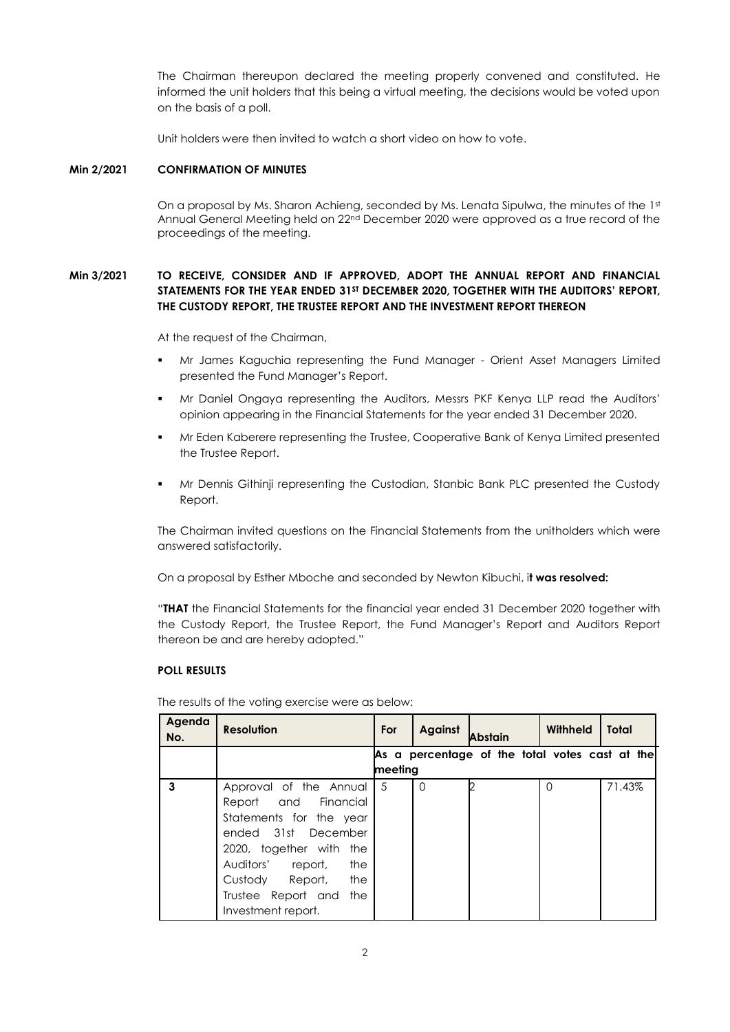The Chairman thereupon declared the meeting properly convened and constituted. He informed the unit holders that this being a virtual meeting, the decisions would be voted upon on the basis of a poll.

Unit holders were then invited to watch a short video on how to vote.

## **Min 2/2021 CONFIRMATION OF MINUTES**

On a proposal by Ms. Sharon Achieng, seconded by Ms. Lenata Sipulwa, the minutes of the 1st Annual General Meeting held on 22<sup>nd</sup> December 2020 were approved as a true record of the proceedings of the meeting.

# **Min 3/2021 TO RECEIVE, CONSIDER AND IF APPROVED, ADOPT THE ANNUAL REPORT AND FINANCIAL STATEMENTS FOR THE YEAR ENDED 31ST DECEMBER 2020, TOGETHER WITH THE AUDITORS' REPORT, THE CUSTODY REPORT, THE TRUSTEE REPORT AND THE INVESTMENT REPORT THEREON**

At the request of the Chairman,

- Mr James Kaguchia representing the Fund Manager Orient Asset Managers Limited presented the Fund Manager's Report.
- Mr Daniel Ongaya representing the Auditors, Messrs PKF Kenya LLP read the Auditors' opinion appearing in the Financial Statements for the year ended 31 December 2020.
- Mr Eden Kaberere representing the Trustee, Cooperative Bank of Kenya Limited presented the Trustee Report.
- Mr Dennis Githinji representing the Custodian, Stanbic Bank PLC presented the Custody Report.

The Chairman invited questions on the Financial Statements from the unitholders which were answered satisfactorily.

On a proposal by Esther Mboche and seconded by Newton Kibuchi, i**t was resolved:**

"**THAT** the Financial Statements for the financial year ended 31 December 2020 together with the Custody Report, the Trustee Report, the Fund Manager's Report and Auditors Report thereon be and are hereby adopted."

### **POLL RESULTS**

The results of the voting exercise were as below:

| Agenda<br>No. | <b>Resolution</b>         | For | Against  | Abstain                                        | Withheld | Total  |  |
|---------------|---------------------------|-----|----------|------------------------------------------------|----------|--------|--|
|               |                           |     |          | As a percentage of the total votes cast at the |          |        |  |
|               | meeting                   |     |          |                                                |          |        |  |
| 3             | Approval of the Annual    | 5   | $\Omega$ |                                                | $\Omega$ | 71.43% |  |
|               | Report and Financial      |     |          |                                                |          |        |  |
|               | Statements for the year   |     |          |                                                |          |        |  |
|               | ended 31st December       |     |          |                                                |          |        |  |
|               | 2020, together with the   |     |          |                                                |          |        |  |
|               | Auditors' report,<br>the  |     |          |                                                |          |        |  |
|               | Custody Report,<br>the    |     |          |                                                |          |        |  |
|               | Trustee Report and<br>the |     |          |                                                |          |        |  |
|               | Investment report.        |     |          |                                                |          |        |  |